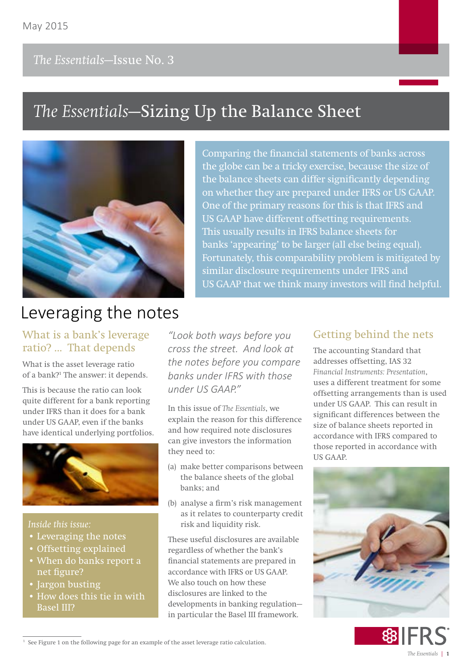# *The Essentials***—Sizing Up the Balance Sheet**



**Comparing the financial statements of banks across the globe can be a tricky exercise, because the size of the balance sheets can differ significantly depending on whether they are prepared under IFRS or US GAAP. One of the primary reasons for this is that IFRS and US GAAP have different offsetting requirements. This usually results in IFRS balance sheets for banks 'appearing' to be larger (all else being equal). Fortunately, this comparability problem is mitigated by similar disclosure requirements under IFRS and US GAAP that we think many investors will find helpful.** 

# Leveraging the notes

# What is a bank's leverage ratio? ... That depends

What is the asset leverage ratio of a bank?<sup>1</sup> The answer: it depends.

This is because the ratio can look quite different for a bank reporting under IFRS than it does for a bank under US GAAP, even if the banks have identical underlying portfolios.



### *Inside this issue:*

- Leveraging the notes
- Offsetting explained
- When do banks report a net figure?
- Jargon busting
- How does this tie in with Basel III?

*"Look both ways before you cross the street. And look at the notes before you compare banks under IFRS with those under US GAAP."*

In this issue of *The Essentials*, we explain the reason for this difference and how required note disclosures can give investors the information they need to:

- (a) make better comparisons between the balance sheets of the global banks; and
- (b) analyse a firm's risk management as it relates to counterparty credit risk and liquidity risk.

These useful disclosures are available regardless of whether the bank's financial statements are prepared in accordance with IFRS or US GAAP. We also touch on how these disclosures are linked to the developments in banking regulation in particular the Basel III framework.

# Getting behind the nets

The accounting Standard that addresses offsetting, IAS 32 *Financial Instruments: Presentation*, uses a different treatment for some offsetting arrangements than is used under US GAAP. This can result in significant differences between the size of balance sheets reported in accordance with IFRS compared to those reported in accordance with US GAAP.





<sup>1</sup> See Figure 1 on the following page for an example of the asset leverage ratio calculation.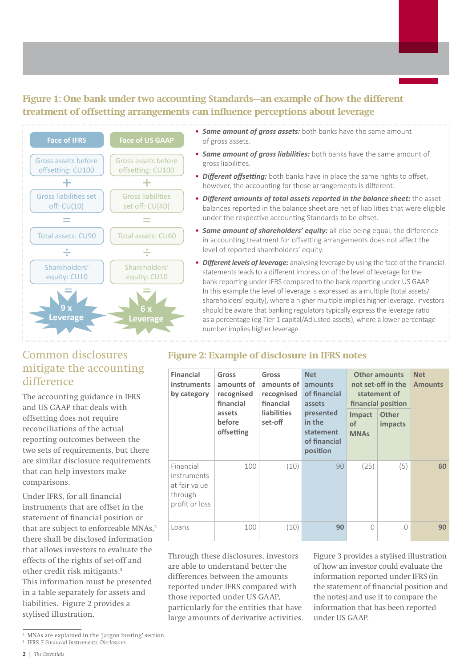# **Figure 1: One bank under two accounting Standards—an example of how the different treatment of offsetting arrangements can influence perceptions about leverage**



- *Same amount of gross assets:* both banks have the same amount of gross assets.
- *Same amount of gross liabilities:* both banks have the same amount of gross liabilities.
- *Different offsetting:* both banks have in place the same rights to offset, however, the accounting for those arrangements is different.
- *Different amounts of total assets reported in the balance sheet:* the asset balances reported in the balance sheet are net of liabilities that were eligible under the respective accounting Standards to be offset.
- *Same amount of shareholders' equity:* all else being equal, the difference in accounting treatment for offsetting arrangements does not affect the level of reported shareholders' equity.
- *Different levels of leverage:* analysing leverage by using the face of the financial statements leads to a different impression of the level of leverage for the bank reporting under IFRS compared to the bank reporting under US GAAP. In this example the level of leverage is expressed as a multiple (total assets/ shareholders' equity), where a higher multiple implies higher leverage. Investors should be aware that banking regulators typically express the leverage ratio as a percentage (eg Tier 1 capital/Adjusted assets), where a lower percentage number implies higher leverage.

**of financial position** 

**MNAs**

100 (10) 90 (25) (5) **60**

# Common disclosures mitigate the accounting difference

The accounting guidance in IFRS and US GAAP that deals with offsetting does not require reconciliations of the actual reporting outcomes between the two sets of requirements, but there are similar disclosure requirements that can help investors make comparisons.

Under IFRS, for all financial instruments that are offset in the statement of financial position or that are subject to enforceable MNAs.<sup>2</sup> there shall be disclosed information that allows investors to evaluate the effects of the rights of set-off and other credit risk mitigants.3 This information must be presented in a table separately for assets and liabilities. Figure 2 provides a stylised illustration.

### **Financial instruments by category Gross amounts of recognised financial assets before offsetting Gross amounts of recognised financial liabilities set-off Net amounts of financial assets presented in the statement Other amounts not set-off in the statement of financial position Net Amounts Impact of Other impacts**

**Figure 2: Example of disclosure in IFRS notes**

| 111311 UITTELILS<br>at fair value<br>through<br>profit or loss                                               |     |     |    |                                                                                                                           |           |    |  |
|--------------------------------------------------------------------------------------------------------------|-----|-----|----|---------------------------------------------------------------------------------------------------------------------------|-----------|----|--|
| Loans                                                                                                        | 100 | 10) | 90 |                                                                                                                           | $\bigcap$ | 90 |  |
| Through these disclosures, investors<br>are able to understand better the<br>differences between the amounts |     |     |    | Figure 3 provides a stylised illustration<br>of how an investor could evaluate the<br>information reported under IFRS (in |           |    |  |

differences between the amounts reported under IFRS compared with those reported under US GAAP, particularly for the entities that have large amounts of derivative activities.

Financial instruments

> ed illustration evaluate the mation reported under IFRS (in the statement of financial position and the notes) and use it to compare the information that has been reported under US GAAP.

<sup>2</sup> MNAs are explained in the 'jargon busting' section.

<sup>3</sup> IFRS 7 *Financial Instruments: Disclosures.*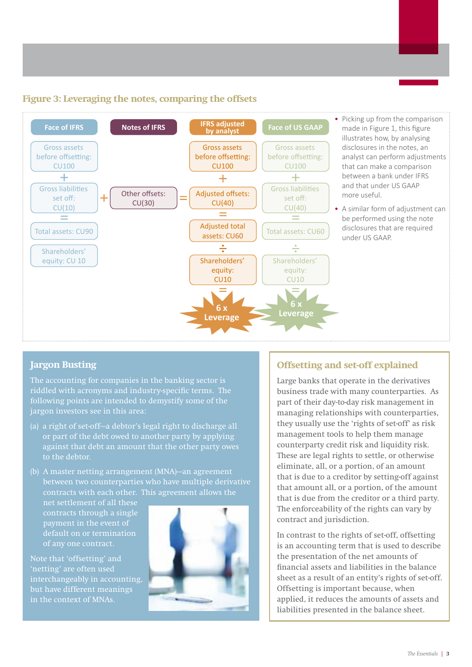# **Figure 3: Leveraging the notes, comparing the offsets**



- Picking up from the comparison made in Figure 1, this figure illustrates how, by analysing disclosures in the notes, an analyst can perform adjustments that can make a comparison between a bank under IFRS and that under US GAAP more useful.
- A similar form of adjustment can be performed using the note disclosures that are required under US GAAP.

## **Jargon Busting**

The accounting for companies in the banking sector is riddled with acronyms and industry-specific terms. The following points are intended to demystify some of the jargon investors see in this area:

- (a) a right of set-off—a debtor's legal right to discharge all or part of the debt owed to another party by applying against that debt an amount that the other party owes to the debtor.
- (b) A master netting arrangement (MNA)—an agreement between two counterparties who have multiple derivative contracts with each other. This agreement allows the

net settlement of all these contracts through a single of any one contract.

Note that 'offsetting' and 'netting' are often used interchangeably in accounting, but have different meanings in the context of MNAs.



# **Offsetting and set-off explained**

Large banks that operate in the derivatives business trade with many counterparties. As part of their day-to-day risk management in managing relationships with counterparties, they usually use the 'rights of set-off' as risk management tools to help them manage counterparty credit risk and liquidity risk. These are legal rights to settle, or otherwise eliminate, all, or a portion, of an amount that is due to a creditor by setting-off against that amount all, or a portion, of the amount that is due from the creditor or a third party. The enforceability of the rights can vary by contract and jurisdiction.

In contrast to the rights of set-off, offsetting is an accounting term that is used to describe the presentation of the net amounts of financial assets and liabilities in the balance sheet as a result of an entity's rights of set-off. Offsetting is important because, when applied, it reduces the amounts of assets and liabilities presented in the balance sheet.